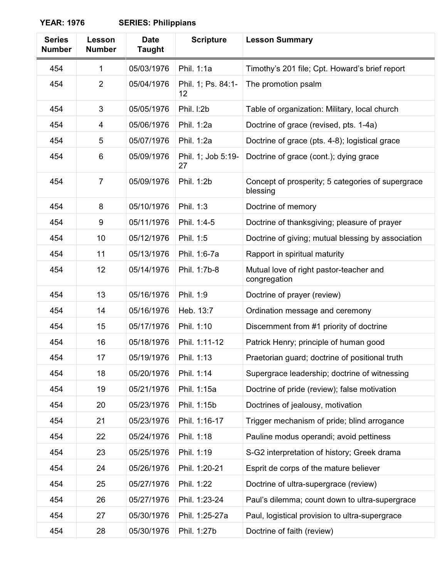**YEAR: 1976 SERIES: Philippians**

| <b>Series</b><br><b>Number</b> | Lesson<br><b>Number</b> | <b>Date</b><br><b>Taught</b> | <b>Scripture</b>         | <b>Lesson Summary</b>                                         |
|--------------------------------|-------------------------|------------------------------|--------------------------|---------------------------------------------------------------|
| 454                            | $\mathbf{1}$            | 05/03/1976                   | Phil. 1:1a               | Timothy's 201 file; Cpt. Howard's brief report                |
| 454                            | $\overline{2}$          | 05/04/1976                   | Phil. 1; Ps. 84:1-<br>12 | The promotion psalm                                           |
| 454                            | 3                       | 05/05/1976                   | Phil. I:2b               | Table of organization: Military, local church                 |
| 454                            | 4                       | 05/06/1976                   | Phil. 1:2a               | Doctrine of grace (revised, pts. 1-4a)                        |
| 454                            | 5                       | 05/07/1976                   | Phil. 1:2a               | Doctrine of grace (pts. 4-8); logistical grace                |
| 454                            | 6                       | 05/09/1976                   | Phil. 1; Job 5:19-<br>27 | Doctrine of grace (cont.); dying grace                        |
| 454                            | $\overline{7}$          | 05/09/1976                   | Phil. 1:2b               | Concept of prosperity; 5 categories of supergrace<br>blessing |
| 454                            | 8                       | 05/10/1976                   | Phil. 1:3                | Doctrine of memory                                            |
| 454                            | 9                       | 05/11/1976                   | Phil. 1:4-5              | Doctrine of thanksgiving; pleasure of prayer                  |
| 454                            | 10                      | 05/12/1976                   | Phil. 1:5                | Doctrine of giving; mutual blessing by association            |
| 454                            | 11                      | 05/13/1976                   | Phil. 1:6-7a             | Rapport in spiritual maturity                                 |
| 454                            | 12                      | 05/14/1976                   | Phil. 1:7b-8             | Mutual love of right pastor-teacher and<br>congregation       |
| 454                            | 13                      | 05/16/1976                   | Phil. 1:9                | Doctrine of prayer (review)                                   |
| 454                            | 14                      | 05/16/1976                   | Heb. 13:7                | Ordination message and ceremony                               |
| 454                            | 15                      | 05/17/1976                   | Phil. 1:10               | Discernment from #1 priority of doctrine                      |
| 454                            | 16                      | 05/18/1976                   | Phil. 1:11-12            | Patrick Henry; principle of human good                        |
| 454                            | 17                      | 05/19/1976                   | Phil. 1:13               | Praetorian guard; doctrine of positional truth                |
| 454                            | 18                      | 05/20/1976                   | Phil. 1:14               | Supergrace leadership; doctrine of witnessing                 |
| 454                            | 19                      | 05/21/1976                   | Phil. 1:15a              | Doctrine of pride (review); false motivation                  |
| 454                            | 20                      | 05/23/1976                   | Phil. 1:15b              | Doctrines of jealousy, motivation                             |
| 454                            | 21                      | 05/23/1976                   | Phil. 1:16-17            | Trigger mechanism of pride; blind arrogance                   |
| 454                            | 22                      | 05/24/1976                   | Phil. 1:18               | Pauline modus operandi; avoid pettiness                       |
| 454                            | 23                      | 05/25/1976                   | Phil. 1:19               | S-G2 interpretation of history; Greek drama                   |
| 454                            | 24                      | 05/26/1976                   | Phil. 1:20-21            | Esprit de corps of the mature believer                        |
| 454                            | 25                      | 05/27/1976                   | Phil. 1:22               | Doctrine of ultra-supergrace (review)                         |
| 454                            | 26                      | 05/27/1976                   | Phil. 1:23-24            | Paul's dilemma; count down to ultra-supergrace                |
| 454                            | 27                      | 05/30/1976                   | Phil. 1:25-27a           | Paul, logistical provision to ultra-supergrace                |
| 454                            | 28                      | 05/30/1976                   | Phil. 1:27b              | Doctrine of faith (review)                                    |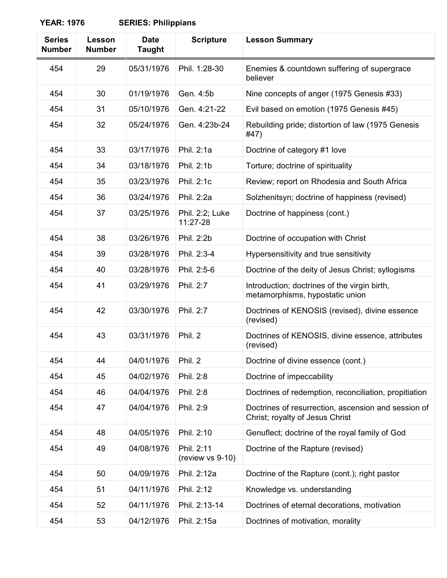## **YEAR: 1976 SERIES: Philippians**

| <b>Series</b><br><b>Number</b> | Lesson<br><b>Number</b> | <b>Date</b><br><b>Taught</b> | <b>Scripture</b>               | <b>Lesson Summary</b>                                                                  |
|--------------------------------|-------------------------|------------------------------|--------------------------------|----------------------------------------------------------------------------------------|
| 454                            | 29                      | 05/31/1976                   | Phil. 1:28-30                  | Enemies & countdown suffering of supergrace<br>believer                                |
| 454                            | 30                      | 01/19/1976                   | Gen. 4:5b                      | Nine concepts of anger (1975 Genesis #33)                                              |
| 454                            | 31                      | 05/10/1976                   | Gen. 4:21-22                   | Evil based on emotion (1975 Genesis #45)                                               |
| 454                            | 32                      | 05/24/1976                   | Gen. 4:23b-24                  | Rebuilding pride; distortion of law (1975 Genesis<br>#47)                              |
| 454                            | 33                      | 03/17/1976                   | Phil. 2:1a                     | Doctrine of category #1 love                                                           |
| 454                            | 34                      | 03/18/1976                   | Phil. 2:1b                     | Torture; doctrine of spirituality                                                      |
| 454                            | 35                      | 03/23/1976                   | Phil. 2:1c                     | Review; report on Rhodesia and South Africa                                            |
| 454                            | 36                      | 03/24/1976                   | Phil. 2:2a                     | Solzhenitsyn; doctrine of happiness (revised)                                          |
| 454                            | 37                      | 03/25/1976                   | Phil. 2:2; Luke<br>11:27-28    | Doctrine of happiness (cont.)                                                          |
| 454                            | 38                      | 03/26/1976                   | Phil. 2:2b                     | Doctrine of occupation with Christ                                                     |
| 454                            | 39                      | 03/28/1976                   | Phil. 2:3-4                    | Hypersensitivity and true sensitivity                                                  |
| 454                            | 40                      | 03/28/1976                   | Phil. 2:5-6                    | Doctrine of the deity of Jesus Christ; syllogisms                                      |
| 454                            | 41                      | 03/29/1976                   | Phil. 2:7                      | Introduction; doctrines of the virgin birth,<br>metamorphisms, hypostatic union        |
| 454                            | 42                      | 03/30/1976                   | Phil. 2:7                      | Doctrines of KENOSIS (revised), divine essence<br>(revised)                            |
| 454                            | 43                      | 03/31/1976                   | Phil. 2                        | Doctrines of KENOSIS, divine essence, attributes<br>(revised)                          |
| 454                            | 44                      | 04/01/1976                   | Phil. 2                        | Doctrine of divine essence (cont.)                                                     |
| 454                            | 45                      | 04/02/1976                   | Phil. 2:8                      | Doctrine of impeccability                                                              |
| 454                            | 46                      | 04/04/1976                   | Phil. 2:8                      | Doctrines of redemption, reconciliation, propitiation                                  |
| 454                            | 47                      | 04/04/1976                   | Phil. 2:9                      | Doctrines of resurrection, ascension and session of<br>Christ; royalty of Jesus Christ |
| 454                            | 48                      | 04/05/1976                   | Phil. 2:10                     | Genuflect; doctrine of the royal family of God                                         |
| 454                            | 49                      | 04/08/1976                   | Phil. 2:11<br>(review vs 9-10) | Doctrine of the Rapture (revised)                                                      |
| 454                            | 50                      | 04/09/1976                   | Phil. 2:12a                    | Doctrine of the Rapture (cont.); right pastor                                          |
| 454                            | 51                      | 04/11/1976                   | Phil. 2:12                     | Knowledge vs. understanding                                                            |
| 454                            | 52                      | 04/11/1976                   | Phil. 2:13-14                  | Doctrines of eternal decorations, motivation                                           |
| 454                            | 53                      | 04/12/1976                   | Phil. 2:15a                    | Doctrines of motivation, morality                                                      |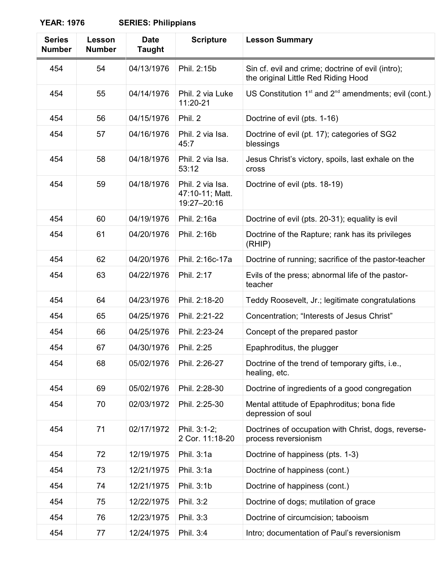## **YEAR: 1976 SERIES: Philippians**

| <b>SERIES: Philippians</b> |  |
|----------------------------|--|
|----------------------------|--|

| <b>Series</b><br><b>Number</b> | Lesson<br><b>Number</b> | <b>Date</b><br><b>Taught</b> | <b>Scripture</b>                                   | <b>Lesson Summary</b>                                                                    |
|--------------------------------|-------------------------|------------------------------|----------------------------------------------------|------------------------------------------------------------------------------------------|
| 454                            | 54                      | 04/13/1976                   | Phil. 2:15b                                        | Sin cf. evil and crime; doctrine of evil (intro);<br>the original Little Red Riding Hood |
| 454                            | 55                      | 04/14/1976                   | Phil. 2 via Luke<br>11:20-21                       | US Constitution 1 <sup>st</sup> and 2 <sup>nd</sup> amendments; evil (cont.)             |
| 454                            | 56                      | 04/15/1976                   | Phil. 2                                            | Doctrine of evil (pts. 1-16)                                                             |
| 454                            | 57                      | 04/16/1976                   | Phil. 2 via Isa.<br>45:7                           | Doctrine of evil (pt. 17); categories of SG2<br>blessings                                |
| 454                            | 58                      | 04/18/1976                   | Phil. 2 via Isa.<br>53:12                          | Jesus Christ's victory, spoils, last exhale on the<br>cross                              |
| 454                            | 59                      | 04/18/1976                   | Phil. 2 via Isa.<br>47:10-11; Matt.<br>19:27-20:16 | Doctrine of evil (pts. 18-19)                                                            |
| 454                            | 60                      | 04/19/1976                   | Phil. 2:16a                                        | Doctrine of evil (pts. 20-31); equality is evil                                          |
| 454                            | 61                      | 04/20/1976                   | Phil. 2:16b                                        | Doctrine of the Rapture; rank has its privileges<br>(RHIP)                               |
| 454                            | 62                      | 04/20/1976                   | Phil. 2:16c-17a                                    | Doctrine of running; sacrifice of the pastor-teacher                                     |
| 454                            | 63                      | 04/22/1976                   | Phil. 2:17                                         | Evils of the press; abnormal life of the pastor-<br>teacher                              |
| 454                            | 64                      | 04/23/1976                   | Phil. 2:18-20                                      | Teddy Roosevelt, Jr.; legitimate congratulations                                         |
| 454                            | 65                      | 04/25/1976                   | Phil. 2:21-22                                      | Concentration; "Interests of Jesus Christ"                                               |
| 454                            | 66                      | 04/25/1976                   | Phil. 2:23-24                                      | Concept of the prepared pastor                                                           |
| 454                            | 67                      | 04/30/1976                   | Phil. 2:25                                         | Epaphroditus, the plugger                                                                |
| 454                            | 68                      | 05/02/1976                   | Phil. 2:26-27                                      | Doctrine of the trend of temporary gifts, i.e.,<br>healing, etc.                         |
| 454                            | 69                      | 05/02/1976                   | Phil. 2:28-30                                      | Doctrine of ingredients of a good congregation                                           |
| 454                            | 70                      | 02/03/1972                   | Phil. 2:25-30                                      | Mental attitude of Epaphroditus; bona fide<br>depression of soul                         |
| 454                            | 71                      | 02/17/1972                   | Phil. 3:1-2;<br>2 Cor. 11:18-20                    | Doctrines of occupation with Christ, dogs, reverse-<br>process reversionism              |
| 454                            | 72                      | 12/19/1975                   | Phil. 3:1a                                         | Doctrine of happiness (pts. 1-3)                                                         |
| 454                            | 73                      | 12/21/1975                   | Phil. 3:1a                                         | Doctrine of happiness (cont.)                                                            |
| 454                            | 74                      | 12/21/1975                   | Phil. 3:1b                                         | Doctrine of happiness (cont.)                                                            |
| 454                            | 75                      | 12/22/1975                   | Phil. 3:2                                          | Doctrine of dogs; mutilation of grace                                                    |
| 454                            | 76                      | 12/23/1975                   | Phil. 3:3                                          | Doctrine of circumcision; tabooism                                                       |
| 454                            | 77                      | 12/24/1975                   | Phil. 3:4                                          | Intro; documentation of Paul's reversionism                                              |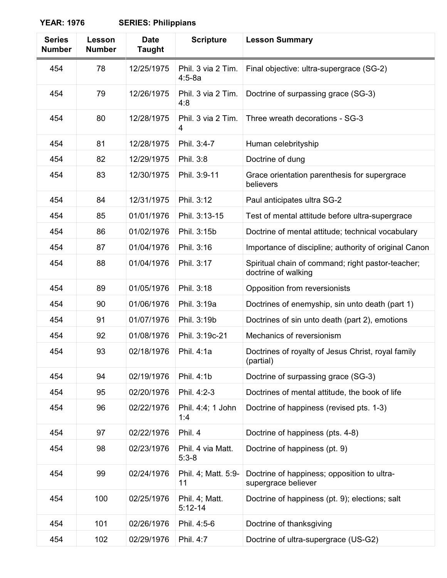## **YEAR: 1976**

| <b>SERIES: Philippians</b> |
|----------------------------|
|                            |

| <b>Series</b><br><b>Number</b> | Lesson<br><b>Number</b> | <b>Date</b><br><b>Taught</b> | <b>Scripture</b>                 | <b>Lesson Summary</b>                                                    |
|--------------------------------|-------------------------|------------------------------|----------------------------------|--------------------------------------------------------------------------|
| 454                            | 78                      | 12/25/1975                   | Phil. 3 via 2 Tim.<br>$4:5 - 8a$ | Final objective: ultra-supergrace (SG-2)                                 |
| 454                            | 79                      | 12/26/1975                   | Phil. 3 via 2 Tim.<br>4:8        | Doctrine of surpassing grace (SG-3)                                      |
| 454                            | 80                      | 12/28/1975                   | Phil. 3 via 2 Tim.<br>4          | Three wreath decorations - SG-3                                          |
| 454                            | 81                      | 12/28/1975                   | Phil. 3:4-7                      | Human celebrityship                                                      |
| 454                            | 82                      | 12/29/1975                   | Phil. 3:8                        | Doctrine of dung                                                         |
| 454                            | 83                      | 12/30/1975                   | Phil. 3:9-11                     | Grace orientation parenthesis for supergrace<br>believers                |
| 454                            | 84                      | 12/31/1975                   | Phil. 3:12                       | Paul anticipates ultra SG-2                                              |
| 454                            | 85                      | 01/01/1976                   | Phil. 3:13-15                    | Test of mental attitude before ultra-supergrace                          |
| 454                            | 86                      | 01/02/1976                   | Phil. 3:15b                      | Doctrine of mental attitude; technical vocabulary                        |
| 454                            | 87                      | 01/04/1976                   | Phil. 3:16                       | Importance of discipline; authority of original Canon                    |
| 454                            | 88                      | 01/04/1976                   | Phil. 3:17                       | Spiritual chain of command; right pastor-teacher;<br>doctrine of walking |
| 454                            | 89                      | 01/05/1976                   | Phil. 3:18                       | Opposition from reversionists                                            |
| 454                            | 90                      | 01/06/1976                   | Phil. 3:19a                      | Doctrines of enemyship, sin unto death (part 1)                          |
| 454                            | 91                      | 01/07/1976                   | Phil. 3:19b                      | Doctrines of sin unto death (part 2), emotions                           |
| 454                            | 92                      | 01/08/1976                   | Phil. 3:19c-21                   | Mechanics of reversionism                                                |
| 454                            | 93                      | 02/18/1976                   | Phil. 4:1a                       | Doctrines of royalty of Jesus Christ, royal family<br>(partial)          |
| 454                            | 94                      | 02/19/1976                   | Phil. 4:1b                       | Doctrine of surpassing grace (SG-3)                                      |
| 454                            | 95                      | 02/20/1976                   | Phil. 4:2-3                      | Doctrines of mental attitude, the book of life                           |
| 454                            | 96                      | 02/22/1976                   | Phil. 4:4; 1 John<br>1:4         | Doctrine of happiness (revised pts. 1-3)                                 |
| 454                            | 97                      | 02/22/1976                   | Phil. 4                          | Doctrine of happiness (pts. 4-8)                                         |
| 454                            | 98                      | 02/23/1976                   | Phil. 4 via Matt.<br>$5:3-8$     | Doctrine of happiness (pt. 9)                                            |
| 454                            | 99                      | 02/24/1976                   | Phil. 4; Matt. 5:9-<br>11        | Doctrine of happiness; opposition to ultra-<br>supergrace believer       |
| 454                            | 100                     | 02/25/1976                   | Phil. 4; Matt.<br>$5:12-14$      | Doctrine of happiness (pt. 9); elections; salt                           |
| 454                            | 101                     | 02/26/1976                   | Phil. 4:5-6                      | Doctrine of thanksgiving                                                 |
| 454                            | 102                     | 02/29/1976                   | Phil. 4:7                        | Doctrine of ultra-supergrace (US-G2)                                     |